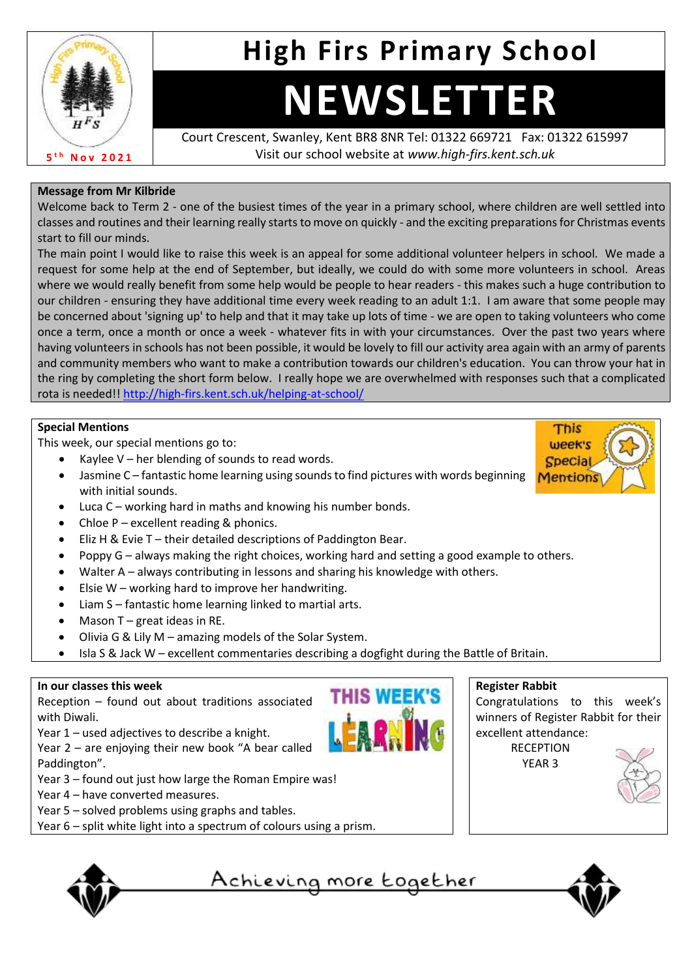

# **High Firs Primary School**

# **NEWSLETTER**

Court Crescent, Swanley, Kent BR8 8NR Tel: 01322 669721 Fax: 01322 615997 Visit our school website at *www.high-firs.kent.sch.uk*

### **Message from Mr Kilbride**

Welcome back to Term 2 - one of the busiest times of the year in a primary school, where children are well settled into classes and routines and their learning really starts to move on quickly - and the exciting preparations for Christmas events start to fill our minds.

The main point I would like to raise this week is an appeal for some additional volunteer helpers in school. We made a request for some help at the end of September, but ideally, we could do with some more volunteers in school. Areas where we would really benefit from some help would be people to hear readers - this makes such a huge contribution to our children - ensuring they have additional time every week reading to an adult 1:1. I am aware that some people may be concerned about 'signing up' to help and that it may take up lots of time - we are open to taking volunteers who come once a term, once a month or once a week - whatever fits in with your circumstances. Over the past two years where having volunteers in schools has not been possible, it would be lovely to fill our activity area again with an army of parents and community members who want to make a contribution towards our children's education. You can throw your hat in the ring by completing the short form below. I really hope we are overwhelmed with responses such that a complicated rota is needed!! <http://high-firs.kent.sch.uk/helping-at-school/>

### **Special Mentions**

This week, our special mentions go to:

- Kaylee  $V$  her blending of sounds to read words.
- Jasmine C fantastic home learning using sounds to find pictures with words beginning with initial sounds.
- Luca C working hard in maths and knowing his number bonds.
- Chloe  $P$  excellent reading & phonics.
- Eliz H & Evie T their detailed descriptions of Paddington Bear.
- Poppy G always making the right choices, working hard and setting a good example to others.
- Walter A always contributing in lessons and sharing his knowledge with others.
- Elsie  $W$  working hard to improve her handwriting.
- Liam S fantastic home learning linked to martial arts.
- Mason  $T$  great ideas in RE.
- Olivia G & Lily M amazing models of the Solar System.
- Isla S & Jack W excellent commentaries describing a dogfight during the Battle of Britain.

#### **In our classes this week**

Reception – found out about traditions associated with Diwali.

Year 1 – used adjectives to describe a knight.

Year 2 – are enjoying their new book "A bear called Paddington".

- Year 3 found out just how large the Roman Empire was!
- Year 4 have converted measures.
- Year 5 solved problems using graphs and tables.
- Year 6 split white light into a spectrum of colours using a prism.



## **Register Rabbit**



This week's **Specia Mentions** 

YEAR 3





<u>Achieving more together</u>